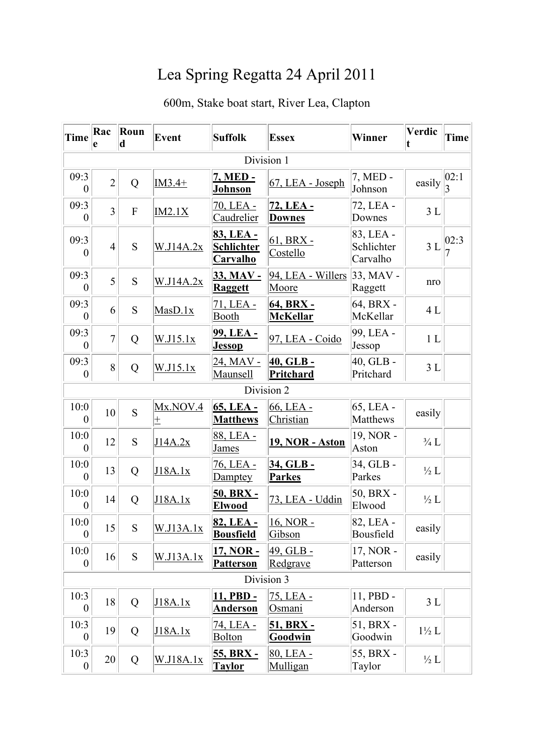## Lea Spring Regatta 24 April 2011

## 600m, Stake boat start, River Lea, Clapton

| Time                     | Rac<br>e       | Roun<br>d   | <b>Event</b>     | <b>Suffolk</b>                                    | <b>Essex</b>                         | Winner                              | Verdic<br>t      | Time |  |  |
|--------------------------|----------------|-------------|------------------|---------------------------------------------------|--------------------------------------|-------------------------------------|------------------|------|--|--|
| Division 1               |                |             |                  |                                                   |                                      |                                     |                  |      |  |  |
| 09:3<br>$\overline{0}$   | $\overline{2}$ | Q           | $IM3.4+$         | 7, MED -<br><b>Johnson</b>                        | 67, LEA - Joseph                     | 7, MED -<br>Johnson                 | easily           | 02:1 |  |  |
| 09:3<br>$\boldsymbol{0}$ | $\overline{3}$ | $\mathbf F$ | IM2.1X           | 70, LEA -<br>Caudrelier                           | 72, LEA -<br><b>Downes</b>           | 72, LEA -<br>Downes                 | 3L               |      |  |  |
| 09:3<br>$\overline{0}$   | $\overline{4}$ | S           | W.J14A.2x        | 83, LEA -<br><b>Schlichter</b><br><b>Carvalho</b> | $61, BRX -$<br>Costello              | 83, LEA -<br>Schlichter<br>Carvalho | 3L               | 02:3 |  |  |
| 09:3<br>$\overline{0}$   | 5              | S           | W.J14A.2x        | 33, MAV -<br><b>Raggett</b>                       | 94, LEA - Willers<br>Moore           | $33, MAV -$<br>Raggett              | nro              |      |  |  |
| 09:3<br>$\overline{0}$   | 6              | S           | MasD.1x          | 71, LEA -<br>Booth                                | 64, BRX -<br><b>McKellar</b>         | 64, BRX -<br>McKellar               | 4L               |      |  |  |
| 09:3<br>$\overline{0}$   | $\overline{7}$ | Q           | W.J15.1x         | <u>99, LEA -</u><br><b>Jessop</b>                 | 97, LEA - Coido                      | 99, LEA -<br>Jessop                 | 1 <sub>L</sub>   |      |  |  |
| 09:3<br>$\boldsymbol{0}$ | 8              | Q           | W.I15.1x         | <u>24, MAV - </u><br><b>Maunsell</b>              | <u>40, GLB -</u><br><b>Pritchard</b> | $40,$ GLB -<br>Pritchard            | 3L               |      |  |  |
|                          |                |             |                  |                                                   | Division 2                           |                                     |                  |      |  |  |
| 10:0<br>$\overline{0}$   | 10             | S           | Mx.NOV.4<br>Æ.   | 65, LEA -<br><b>Matthews</b>                      | 66, LEA -<br>Christian               | 65, LEA -<br><b>Matthews</b>        | easily           |      |  |  |
| 10:0<br>$\overline{0}$   | 12             | S           | J14A.2x          | 88, LEA -<br><b>James</b>                         | <b>19, NOR - Aston</b>               | 19, NOR -<br>Aston                  | $\frac{3}{4}$ L  |      |  |  |
| 10:0<br>$\overline{0}$   | 13             | Q           | J18A.1x          | 76, LEA -<br>Damptey                              | 34, GLB-<br><b>Parkes</b>            | 34, GLB -<br>Parkes                 | $\frac{1}{2}L$   |      |  |  |
| 10:0<br>$\overline{0}$   | 14             | Q           | J18A.1x          | <u>50, BRX -</u><br><b>Elwood</b>                 | 73, LEA - Uddin                      | 50, BRX -<br>Elwood                 | $\frac{1}{2}L$   |      |  |  |
| 10:0<br>$\boldsymbol{0}$ | 15             | S           | <u>W.J13A.1x</u> | 82, LEA -<br><b>Bousfield</b>                     | 16, NOR -<br>Gibson                  | 82, LEA -<br>Bousfield              | easily           |      |  |  |
| 10:0<br>$\overline{0}$   | 16             | S           | W.J13A.1x        | 17, NOR -<br><b>Patterson</b>                     | 49, GLB-<br>Redgrave                 | 17, NOR -<br>Patterson              | easily           |      |  |  |
| Division 3               |                |             |                  |                                                   |                                      |                                     |                  |      |  |  |
| 10:3<br>$\overline{0}$   | 18             | Q           | J18A.1x          | 11, PBD -<br><b>Anderson</b>                      | 75, LEA -<br>Osmani                  | 11, PBD -<br>Anderson               | 3L               |      |  |  |
| 10:3<br>$\overline{0}$   | 19             | Q           | J18A.1x          | <u>74, LEA - </u><br><b>Bolton</b>                | 51, BRX -<br>Goodwin                 | 51, BRX -<br>Goodwin                | $1\frac{1}{2}$ L |      |  |  |
| 10:3<br>$\boldsymbol{0}$ | 20             | Q           | W.J18A.1x        | 55, BRX -<br><b>Taylor</b>                        | 80, LEA -<br>Mulligan                | 55, BRX -<br>Taylor                 | $\frac{1}{2}$ L  |      |  |  |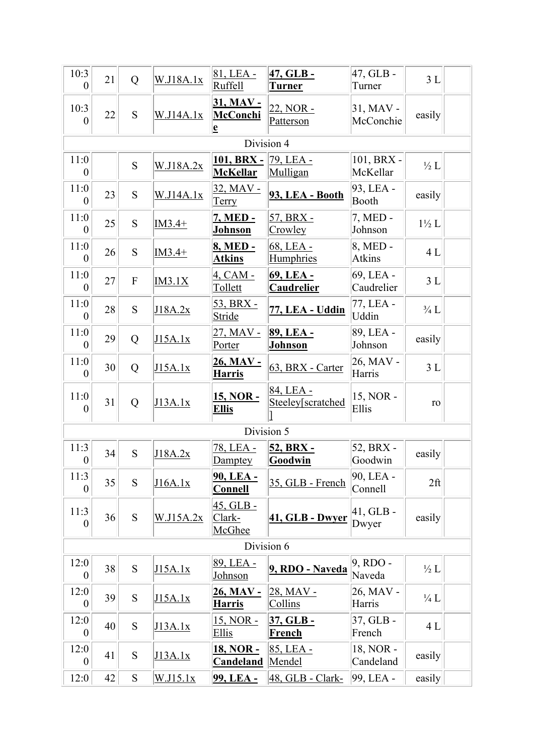| 10:3<br>0                | 21 | Q                         | W.J18A.1x        | 81, LEA -<br><b>Ruffell</b>                             | 47, GLB -<br><u>Turner</u>            | 47, GLB-<br>Turner      | 3L              |  |
|--------------------------|----|---------------------------|------------------|---------------------------------------------------------|---------------------------------------|-------------------------|-----------------|--|
| 10:3<br>$\theta$         | 22 | S                         | W.J14A.1x        | 31, MAV -<br><b>McConchi</b><br>$\overline{\mathbf{e}}$ | 22, NOR -<br>Patterson                | 31, MAV -<br>McConchie  | easily          |  |
|                          |    |                           |                  | Division 4                                              |                                       |                         |                 |  |
| 11:0<br>$\theta$         |    | S                         | W.J18A.2x        | <u> 101, BRX - 79, LEA - </u><br><b>McKellar</b>        | Mulligan                              | 101, BRX -<br>McKellar  | $\frac{1}{2}L$  |  |
| 11:0<br>$\overline{0}$   | 23 | S                         | <u>W.J14A.1x</u> | 32, MAV -<br><u>Terry</u>                               | 93, LEA - Booth                       | 93, LEA -<br>Booth      | easily          |  |
| 11:0<br>$\overline{0}$   | 25 | S                         | $IM3.4+$         | <u>7, MED -</u><br><b>Johnson</b>                       | <u>57, BRX - </u><br>Crowley          | 7, MED -<br>Johnson     | $1\frac{1}{2}L$ |  |
| 11:0<br>$\overline{0}$   | 26 | S                         | $IM3.4+$         | 8, MED -<br><b>Atkins</b>                               | 68, LEA -<br>Humphries                | 8, MED -<br>Atkins      | 4L              |  |
| 11:0<br>$\overline{0}$   | 27 | $\boldsymbol{\mathrm{F}}$ | IM3.1X           | $4, CAM -$<br>Tollett                                   | <u>69, LEA -</u><br><b>Caudrelier</b> | 69, LEA -<br>Caudrelier | 3L              |  |
| 11:0<br>$\theta$         | 28 | S                         | J18A.2x          | 53, BRX -<br>Stride                                     | 77, LEA - Uddin                       | 77, LEA -<br>Uddin      | $\frac{3}{4}$ L |  |
| 11:0<br>$\overline{0}$   | 29 | Q                         | J15A.1x          | 27, MAV -<br>Porter                                     | 89, LEA -<br><u>Johnson</u>           | 89, LEA -<br>Johnson    | easily          |  |
| 11:0<br>$\boldsymbol{0}$ | 30 | Q                         | J15A.1x          | <u>26, MAV -</u><br><u>Harris</u>                       | 63, BRX - Carter                      | 26, MAV -<br>Harris     | 3L              |  |
| 11:0<br>$\overline{0}$   | 31 | Q                         | J13A.1x          | <u>15, NOR -</u><br><u>Ellis</u>                        | 84, LEA -<br>Steeley[scratched        | 15, NOR -<br>Ellis      | ro              |  |
|                          |    |                           |                  | Division 5                                              |                                       |                         |                 |  |
| 11:3<br>$\boldsymbol{0}$ | 34 | S                         | J18A.2x          | 78, LEA -<br>Damptey                                    | 52, BRX -<br><b>Goodwin</b>           | 52, BRX -<br>Goodwin    | easily          |  |
| 11:3<br>0                | 35 | S                         | J16A.1x          | <u>90, LEA - </u><br><b>Connell</b>                     | 35, GLB - French                      | 90, LEA -<br>Connell    | $2f$ t          |  |
| 11:3<br>$\theta$         | 36 | S                         | W.J15A.2x        | 45, GLB -<br>Clark-<br>McGhee                           | 41, GLB - Dwyer                       | $41,$ GLB -<br>Dwyer    | easily          |  |
| Division 6               |    |                           |                  |                                                         |                                       |                         |                 |  |
| 12:0<br>$\theta$         | 38 | S                         | J15A.1x          | 89, LEA -<br><u>Johnson</u>                             | 9, RDO - Naveda                       | 9, RDO -<br>Naveda      | $\frac{1}{2}L$  |  |
| 12:0<br>0                | 39 | S                         | J15A.1x          | 26, MAV -<br><u>Harris</u>                              | 28, MAV -<br><b>Collins</b>           | 26, MAV -<br>Harris     | $\frac{1}{4}L$  |  |
| 12:0<br>$\overline{0}$   | 40 | S                         | <u>J13A.1x</u>   | 15, NOR -<br><b>Ellis</b>                               | <u>37, GLB -</u><br><u>French</u>     | 37, GLB -<br>French     | 4L              |  |
| 12:0<br>$\boldsymbol{0}$ | 41 | ${\bf S}$                 | J13A.1x          | <u> 18, NOR - </u><br><b>Candeland</b>                  | 85, LEA -<br><u>Mendel</u>            | 18, NOR -<br>Candeland  | easily          |  |
| 12:0                     | 42 | ${\bf S}$                 | W.J15.1x         | 99, LEA -                                               | 48, GLB - Clark-                      | 99, LEA -               | easily          |  |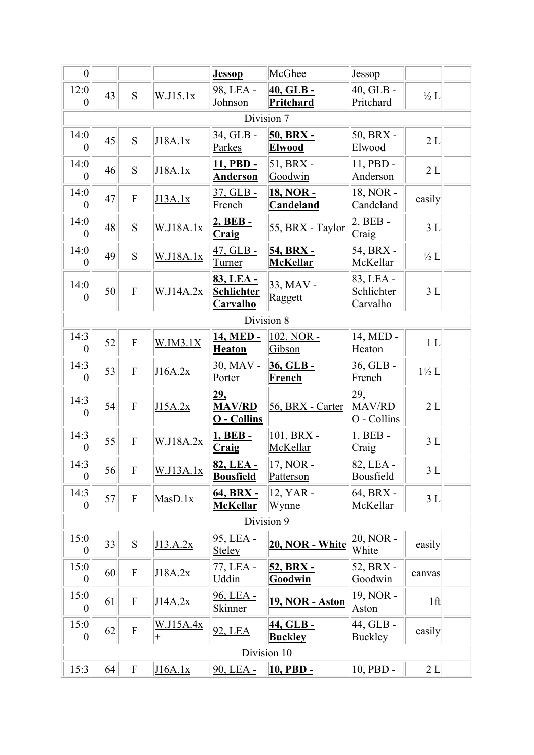| $\overline{0}$           |            |                           |                           | <b>Jessop</b>                                     | McGhee                              | Jessop                              |                 |  |  |
|--------------------------|------------|---------------------------|---------------------------|---------------------------------------------------|-------------------------------------|-------------------------------------|-----------------|--|--|
| 12:0<br>$\overline{0}$   | 43         | S                         | W.I15.1x                  | 98, LEA -<br>Johnson                              | 40, GLB -<br><b>Pritchard</b>       | 40, GLB -<br>Pritchard              | $\frac{1}{2}L$  |  |  |
|                          |            |                           |                           |                                                   | Division 7                          |                                     |                 |  |  |
| 14:0<br>$\overline{0}$   | 45         | S                         | J18A.1x                   | 34, GLB -<br>Parkes                               | 50, BRX -<br><b>Elwood</b>          | 50, BRX -<br>Elwood                 | $2\;{\rm L}$    |  |  |
| 14:0<br>$\overline{0}$   | 46         | S                         | J18A.1x                   | <u>11, PBD -</u><br><b>Anderson</b>               | 51, BRX -<br>Goodwin                | 11, PBD -<br>Anderson               | 2L              |  |  |
| 14:0<br>$\boldsymbol{0}$ | 47         | $\boldsymbol{\mathrm{F}}$ | J13A.1x                   | 37, GLB -<br>French                               | <u>18, NOR -</u><br>Candeland       | 18, NOR -<br>Candeland              | easily          |  |  |
| 14:0<br>$\overline{0}$   | 48         | S                         | W.J18A.1x                 | 2, BEB-<br>Craig                                  | 55, BRX - Taylor                    | $2, BEB -$<br>Craig                 | 3L              |  |  |
| 14:0<br>$\boldsymbol{0}$ | 49         | S                         | W.J18A.1x                 | $47, GLB -$<br>Turner                             | <u>54, BRX -</u><br><b>McKellar</b> | 54, BRX -<br>McKellar               | $\frac{1}{2}L$  |  |  |
| 14:0<br>$\boldsymbol{0}$ | 50         | $\overline{\mathrm{F}}$   | W.J14A.2x                 | 83, LEA -<br><b>Schlichter</b><br><b>Carvalho</b> | $33,$ MAV -<br>Raggett              | 83, LEA -<br>Schlichter<br>Carvalho | 3L              |  |  |
|                          | Division 8 |                           |                           |                                                   |                                     |                                     |                 |  |  |
| 14:3<br>$\overline{0}$   | 52         | $\boldsymbol{\mathrm{F}}$ | W.IM3.1X                  | 14, MED -<br><u>Heaton</u>                        | 102, NOR -<br>Gibson                | 14, MED -<br>Heaton                 | 1L              |  |  |
| 14:3<br>$\boldsymbol{0}$ | 53         | $\overline{F}$            | J16A.2x                   | 30, MAV -<br>Porter                               | 36, GLB -<br><b>French</b>          | 36, GLB -<br>French                 | $1\frac{1}{2}L$ |  |  |
| 14:3<br>$\overline{0}$   | 54         | $\mathbf F$               | J15A.2x                   | 29.<br><b>MAV/RD</b><br>O - Collins               | 56, BRX - Carter                    | 29,<br>MAV/RD<br>O - Collins        | 2L              |  |  |
| 14:3<br>$\boldsymbol{0}$ | 55         | $\boldsymbol{\mathrm{F}}$ | W.J18A.2x                 | 1, BEB-<br>Craig                                  | 101, BRX -<br>McKellar              | 1, BEB -<br>Craig                   | 3L              |  |  |
| 14:3<br>$\boldsymbol{0}$ | 56         | F                         | <u>W.J13A.1x</u>          | 82, LEA -<br><b>Bousfield</b>                     | 17, NOR -<br>Patterson              | 82, LEA -<br>Bousfield              | 3 L             |  |  |
| 14:3<br>$\overline{0}$   | 57         | $\boldsymbol{\mathrm{F}}$ | Ma s D.1x                 | 64, BRX -<br><b>McKellar</b>                      | 12, YAR -<br><u>Wynne</u>           | 64, BRX -<br>McKellar               | $3L$            |  |  |
| Division 9               |            |                           |                           |                                                   |                                     |                                     |                 |  |  |
| 15:0<br>$\overline{0}$   | 33         | S                         | J13.A.2x                  | 95, LEA -<br><b>Steley</b>                        | 20, NOR - White                     | 20, NOR -<br>White                  | easily          |  |  |
| 15:0<br>$\overline{0}$   | 60         | $\boldsymbol{\mathrm{F}}$ | J18A.2x                   | 77, LEA -<br><u>Uddin</u>                         | <u>52, BRX -</u><br>Goodwin         | 52, BRX -<br>Goodwin                | canvas          |  |  |
| 15:0<br>$\overline{0}$   | 61         | $\boldsymbol{\mathrm{F}}$ | J14A.2x                   | 96, LEA -<br>Skinner                              | <b>19, NOR - Aston</b>              | 19, NOR -<br>Aston                  | 1 <sup>ft</sup> |  |  |
| 15:0<br>$\overline{0}$   | 62         | $\boldsymbol{\mathrm{F}}$ | <u>W.J15A.4x</u><br>$\pm$ | 92, LEA                                           | <u>44, GLB -</u><br><b>Buckley</b>  | 44, GLB -<br>Buckley                | easily          |  |  |
| Division 10              |            |                           |                           |                                                   |                                     |                                     |                 |  |  |
| 15:3                     | 64         | $\boldsymbol{\mathrm{F}}$ | J16A.1x                   | 90, LEA -                                         | 10, PBD -                           | 10, PBD -                           | 2L              |  |  |